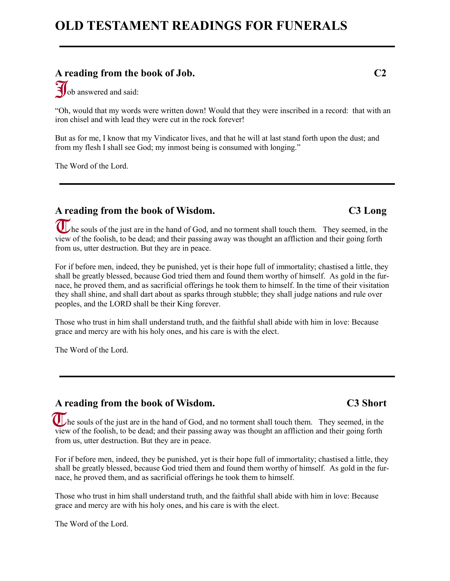# **A reading from the book of Job. C2**

Job answered and said:

"Oh, would that my words were written down! Would that they were inscribed in a record: that with an iron chisel and with lead they were cut in the rock forever!

But as for me, I know that my Vindicator lives, and that he will at last stand forth upon the dust; and from my flesh I shall see God; my inmost being is consumed with longing."

The Word of the Lord.

## **A reading from the book of Wisdom. C3 Long**

The souls of the just are in the hand of God, and no torment shall touch them. They seemed, in the view of the foolish, to be dead; and their passing away was thought an affliction and their going forth from us, utter destruction. But they are in peace.

For if before men, indeed, they be punished, yet is their hope full of immortality; chastised a little, they shall be greatly blessed, because God tried them and found them worthy of himself. As gold in the furnace, he proved them, and as sacrificial offerings he took them to himself. In the time of their visitation they shall shine, and shall dart about as sparks through stubble; they shall judge nations and rule over peoples, and the LORD shall be their King forever.

Those who trust in him shall understand truth, and the faithful shall abide with him in love: Because grace and mercy are with his holy ones, and his care is with the elect.

The Word of the Lord.

## **A reading from the book of Wisdom. C3 Short**

The souls of the just are in the hand of God, and no torment shall touch them. They seemed, in the set view of the foolish, to be dead; and their passing away was thought an affliction and their going forth from us, utter destruction. But they are in peace.

For if before men, indeed, they be punished, yet is their hope full of immortality; chastised a little, they shall be greatly blessed, because God tried them and found them worthy of himself. As gold in the furnace, he proved them, and as sacrificial offerings he took them to himself.

Those who trust in him shall understand truth, and the faithful shall abide with him in love: Because grace and mercy are with his holy ones, and his care is with the elect.

The Word of the Lord.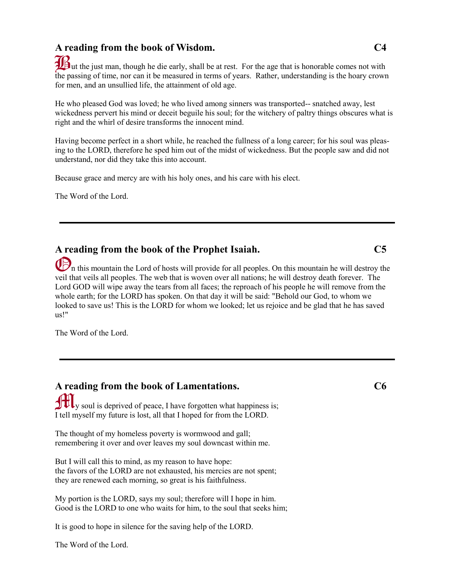## **A reading from the book of Wisdom. C4**

**W** at the just man, though he die early, shall be at rest. For the age that is honorable comes not with the passing of time, nor can it be measured in terms of years. Rather, understanding is the hoary crown for men, and an unsullied life, the attainment of old age.

He who pleased God was loved; he who lived among sinners was transported-- snatched away, lest wickedness pervert his mind or deceit beguile his soul; for the witchery of paltry things obscures what is right and the whirl of desire transforms the innocent mind.

Having become perfect in a short while, he reached the fullness of a long career; for his soul was pleasing to the LORD, therefore he sped him out of the midst of wickedness. But the people saw and did not understand, nor did they take this into account.

Because grace and mercy are with his holy ones, and his care with his elect.

The Word of the Lord.

## **A reading from the book of the Prophet Isaiah. C5**

**O**n this mountain the Lord of hosts will provide for all peoples. On this mountain he will destroy the veil that veils all peoples. The web that is woven over all nations; he will destroy death forever. The Lord GOD will wipe away the tears from all faces; the reproach of his people he will remove from the whole earth; for the LORD has spoken. On that day it will be said: "Behold our God, to whom we looked to save us! This is the LORD for whom we looked; let us rejoice and be glad that he has saved us!"

The Word of the Lord.

| A reading from the book of Lamentations.                                                                                                                                                                                                                                                                                                                                                                                                                                                    | C6 |
|---------------------------------------------------------------------------------------------------------------------------------------------------------------------------------------------------------------------------------------------------------------------------------------------------------------------------------------------------------------------------------------------------------------------------------------------------------------------------------------------|----|
| $\int \mathbf{H}$ soul is deprived of peace, I have forgotten what happiness is;<br>I tell myself my future is lost, all that I hoped for from the LORD.<br>The thought of my homeless poverty is wormwood and gall;<br>remembering it over and over leaves my soul downcast within me.<br>But I will call this to mind, as my reason to have hope:<br>the favors of the LORD are not exhausted, his mercies are not spent;<br>they are renewed each morning, so great is his faithfulness. |    |
|                                                                                                                                                                                                                                                                                                                                                                                                                                                                                             |    |
|                                                                                                                                                                                                                                                                                                                                                                                                                                                                                             |    |

My portion is the LORD, says my soul; therefore will I hope in him. Good is the LORD to one who waits for him, to the soul that seeks him;

It is good to hope in silence for the saving help of the LORD.

The Word of the Lord.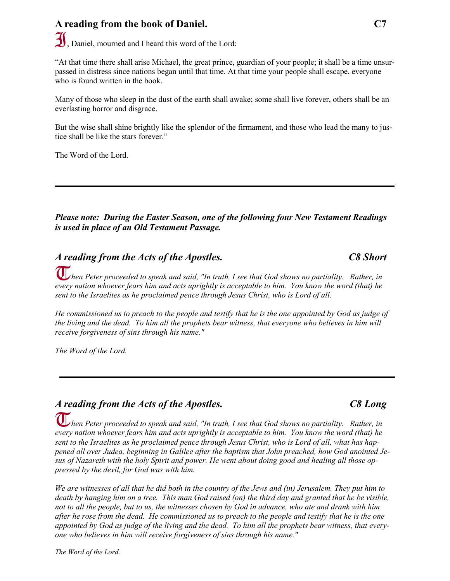# **A reading from the book of Daniel. C7**

, Daniel, mourned and I heard this word of the Lord: I

"At that time there shall arise Michael, the great prince, guardian of your people; it shall be a time unsurpassed in distress since nations began until that time. At that time your people shall escape, everyone who is found written in the book.

Many of those who sleep in the dust of the earth shall awake; some shall live forever, others shall be an everlasting horror and disgrace.

But the wise shall shine brightly like the splendor of the firmament, and those who lead the many to justice shall be like the stars forever."

The Word of the Lord.

*Please note: During the Easter Season, one of the following four New Testament Readings is used in place of an Old Testament Passage.*

## *A reading from the Acts of the Apostles. C8 Short*

 $\overline{U}$  hen Peter proceeded to speak and said, "In truth, I see that God shows no partiality. Rather, in *every nation whoever fears him and acts uprightly is acceptable to him. You know the word (that) he sent to the Israelites as he proclaimed peace through Jesus Christ, who is Lord of all.*

*He commissioned us to preach to the people and testify that he is the one appointed by God as judge of the living and the dead. To him all the prophets bear witness, that everyone who believes in him will receive forgiveness of sins through his name."* 

*The Word of the Lord.*

## *A reading from the Acts of the Apostles. C8 Long*

Then Peter proceeded to speak and said, "In truth, I see that God shows no partiality. Rather, in *every nation whoever fears him and acts uprightly is acceptable to him. You know the word (that) he sent to the Israelites as he proclaimed peace through Jesus Christ, who is Lord of all, what has happened all over Judea, beginning in Galilee after the baptism that John preached, how God anointed Jesus of Nazareth with the holy Spirit and power. He went about doing good and healing all those oppressed by the devil, for God was with him.* 

*We are witnesses of all that he did both in the country of the Jews and (in) Jerusalem. They put him to death by hanging him on a tree. This man God raised (on) the third day and granted that he be visible, not to all the people, but to us, the witnesses chosen by God in advance, who ate and drank with him after he rose from the dead. He commissioned us to preach to the people and testify that he is the one appointed by God as judge of the living and the dead. To him all the prophets bear witness, that everyone who believes in him will receive forgiveness of sins through his name."*